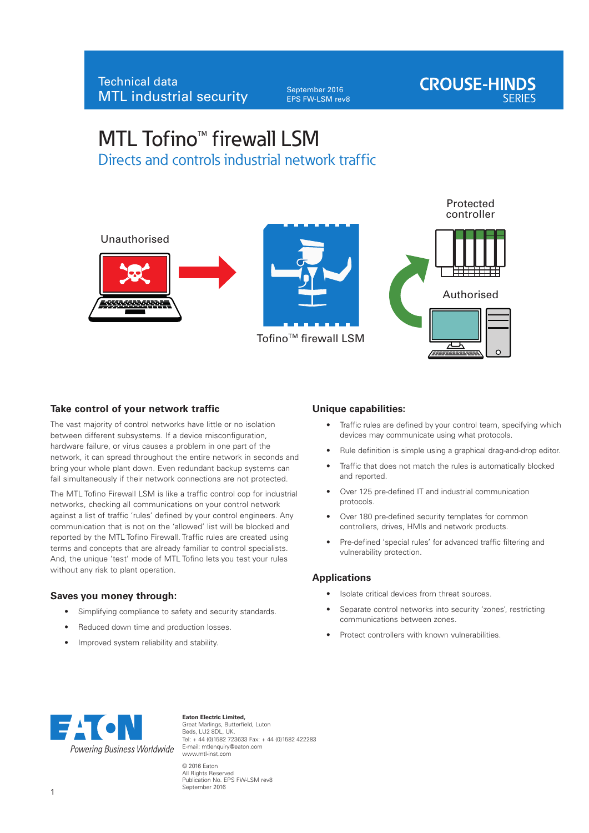September 2016 EPS FW-LSM rev8



# $MTL$  Tofino<sup>M</sup> firewall LSM Directs and controls industrial network traffic



### **Take control of your network traffic**

The vast majority of control networks have little or no isolation between different subsystems. If a device misconfiguration, hardware failure, or virus causes a problem in one part of the network, it can spread throughout the entire network in seconds and bring your whole plant down. Even redundant backup systems can fail simultaneously if their network connections are not protected.

The MTL Tofino Firewall LSM is like a traffic control cop for industrial networks, checking all communications on your control network against a list of traffic 'rules' defined by your control engineers. Any communication that is not on the 'allowed' list will be blocked and reported by the MTL Tofino Firewall. Traffic rules are created using terms and concepts that are already familiar to control specialists. And, the unique 'test' mode of MTL Tofino lets you test your rules without any risk to plant operation.

### **Saves you money through:**

- Simplifying compliance to safety and security standards.
- Reduced down time and production losses.
- Improved system reliability and stability.

#### **Unique capabilities:**

- Traffic rules are defined by your control team, specifying which devices may communicate using what protocols.
- Rule definition is simple using a graphical drag-and-drop editor.
- Traffic that does not match the rules is automatically blocked and reported.
- Over 125 pre-defined IT and industrial communication protocols.
- Over 180 pre-defined security templates for common controllers, drives, HMIs and network products.
- Pre-defined 'special rules' for advanced traffic filtering and vulnerability protection.

### **Applications**

- Isolate critical devices from threat sources.
- Separate control networks into security 'zones', restricting communications between zones.
- Protect controllers with known vulnerabilities.



**Eaton Electric Limited,** Great Marlings, Butterfield, Luton Beds, LU2 8DL, UK. Tel: + 44 (0)1582 723633 Fax: + 44 (0)1582 422283 E-mail: mtlenquiry@eaton.com www.mtl-inst.com © 2016 Eaton All Rights Reserved Publication No. EPS FW-LSM rev8